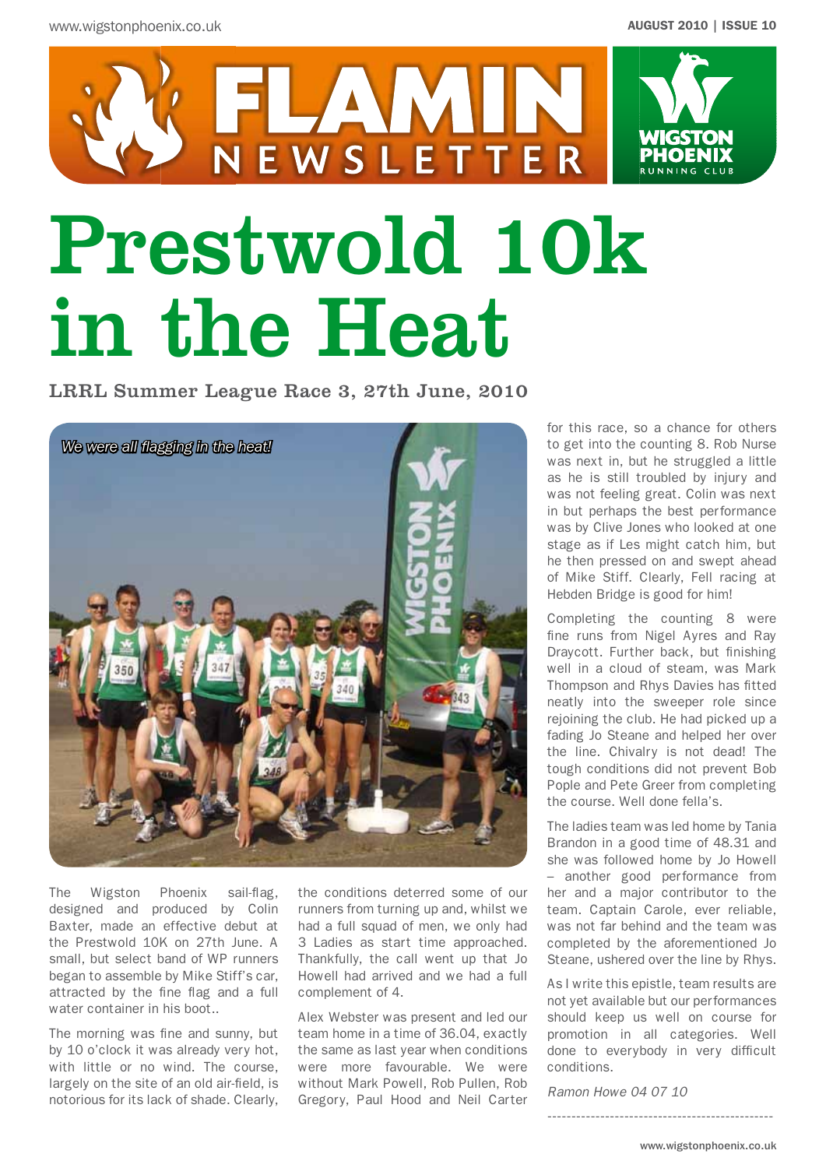

# Prestwold 10k in the Heat

FLAMIN<br>NEWSLETTER

LRRL Summer League Race 3, 27th June, 2010



The Wigston Phoenix sail-flag, designed and produced by Colin Baxter, made an effective debut at the Prestwold 10K on 27th June. A small, but select band of WP runners began to assemble by Mike Stiff's car, attracted by the fine flag and a full water container in his boot..

The morning was fine and sunny, but by 10 o'clock it was already very hot, with little or no wind. The course, largely on the site of an old air-field, is notorious for its lack of shade. Clearly, the conditions deterred some of our runners from turning up and, whilst we had a full squad of men, we only had 3 Ladies as start time approached. Thankfully, the call went up that Jo Howell had arrived and we had a full complement of 4.

Alex Webster was present and led our team home in a time of 36.04, exactly the same as last year when conditions were more favourable. We were without Mark Powell, Rob Pullen, Rob Gregory, Paul Hood and Neil Carter

for this race, so a chance for others to get into the counting 8. Rob Nurse was next in, but he struggled a little as he is still troubled by injury and was not feeling great. Colin was next in but perhaps the best performance was by Clive Jones who looked at one stage as if Les might catch him, but he then pressed on and swept ahead of Mike Stiff. Clearly, Fell racing at Hebden Bridge is good for him!

Completing the counting 8 were fine runs from Nigel Ayres and Ray Draycott. Further back, but finishing well in a cloud of steam, was Mark Thompson and Rhys Davies has fitted neatly into the sweeper role since rejoining the club. He had picked up a fading Jo Steane and helped her over the line. Chivalry is not dead! The tough conditions did not prevent Bob Pople and Pete Greer from completing the course. Well done fella's.

The ladies team was led home by Tania Brandon in a good time of 48.31 and she was followed home by Jo Howell – another good performance from her and a major contributor to the team. Captain Carole, ever reliable, was not far behind and the team was completed by the aforementioned Jo Steane, ushered over the line by Rhys.

As I write this epistle, team results are not yet available but our performances should keep us well on course for promotion in all categories. Well done to everybody in very difficult conditions.

-----------------------------------------------

*Ramon Howe 04 07 10*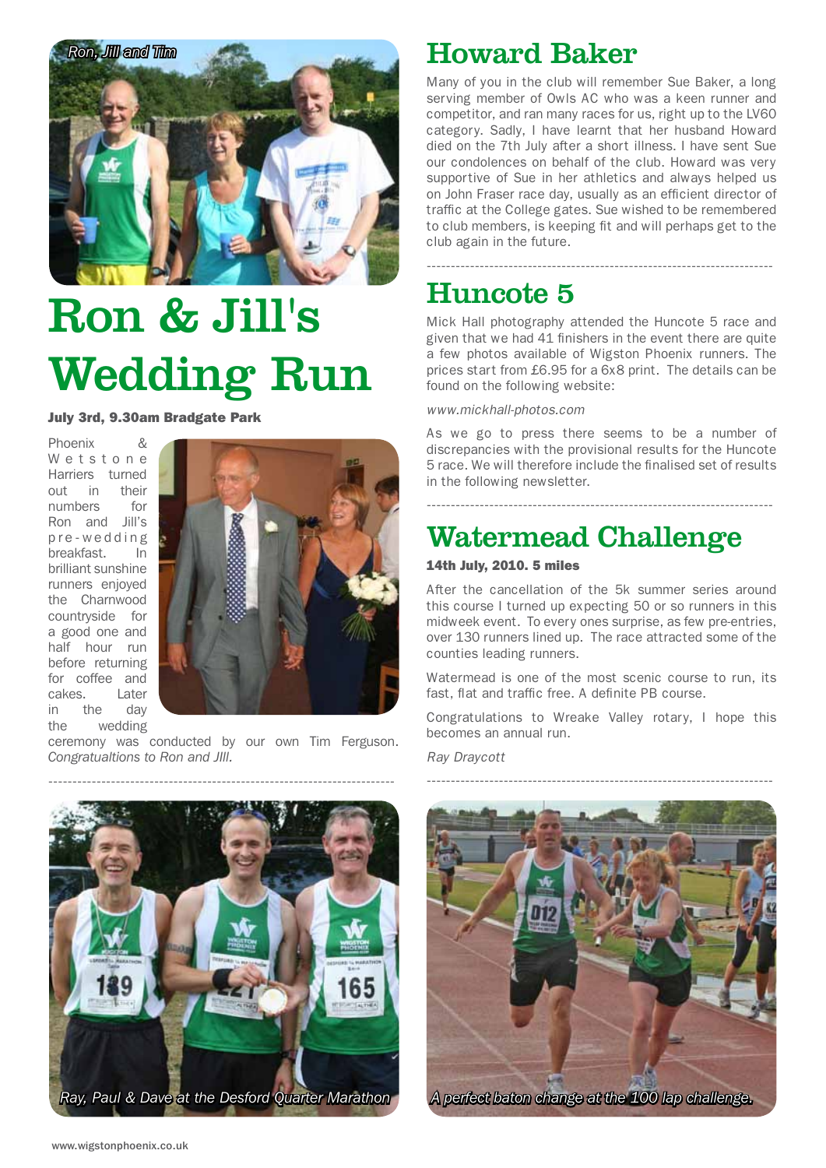

## Ron & Jill's Wedding Run

July 3rd, 9.30am Bradgate Park

Phoenix & Wetstone Harriers turned out in their numbers for Ron and Jill's p r e - w e d d i n g breakfast. In brilliant sunshine runners enjoyed the Charnwood countryside for a good one and half hour run before returning for coffee and cakes. Later in the day the wedding



ceremony was conducted by our own Tim Ferguson. *Congratualtions to Ron and JIll.*

## Howard Baker

Many of you in the club will remember Sue Baker, a long serving member of Owls AC who was a keen runner and competitor, and ran many races for us, right up to the LV60 category. Sadly, I have learnt that her husband Howard died on the 7th July after a short illness. I have sent Sue our condolences on behalf of the club. Howard was very supportive of Sue in her athletics and always helped us on John Fraser race day, usually as an efficient director of traffic at the College gates. Sue wished to be remembered to club members, is keeping fit and will perhaps get to the club again in the future.

## Huncote 5

Mick Hall photography attended the Huncote 5 race and given that we had 41 finishers in the event there are quite a few photos available of Wigston Phoenix runners. The prices start from £6.95 for a 6x8 print. The details can be found on the following website:

------------------------------------------------------------------------

*www.mickhall-photos.com*

As we go to press there seems to be a number of discrepancies with the provisional results for the Huncote 5 race. We will therefore include the finalised set of results in the following newsletter.

------------------------------------------------------------------------

## Watermead Challenge

### 14th July, 2010. 5 miles

After the cancellation of the 5k summer series around this course I turned up expecting 50 or so runners in this midweek event. To every ones surprise, as few pre-entries, over 130 runners lined up. The race attracted some of the counties leading runners.

Watermead is one of the most scenic course to run, its fast, flat and traffic free. A definite PB course.

Congratulations to Wreake Valley rotary, I hope this becomes an annual run.

*Ray Draycott*



------------------------------------------------------------------------



*A perfect baton change at the 100 lap challenge.*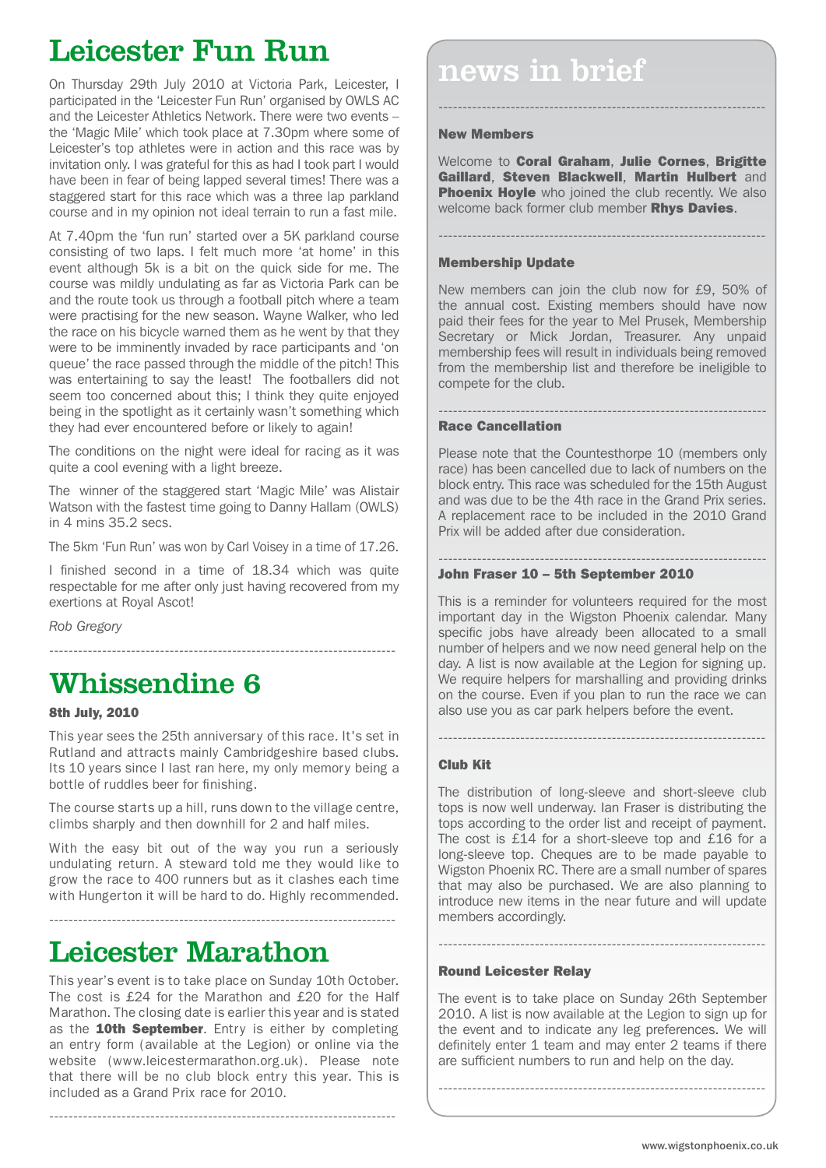## Leicester Fun Run

participated in the 'Leicester Fun Run' organised by OWLS AC and the Leicester Athletics Network. There were two events – the 'Magic Mile' which took place at 7.30pm where some of Leicester's top athletes were in action and this race was by invitation only. I was grateful for this as had I took part I would have been in fear of being lapped several times! There was a staggered start for this race which was a three lap parkland course and in my opinion not ideal terrain to run a fast mile.

At 7.40pm the 'fun run' started over a 5K parkland course consisting of two laps. I felt much more 'at home' in this event although 5k is a bit on the quick side for me. The course was mildly undulating as far as Victoria Park can be and the route took us through a football pitch where a team were practising for the new season. Wayne Walker, who led the race on his bicycle warned them as he went by that they were to be imminently invaded by race participants and 'on queue' the race passed through the middle of the pitch! This was entertaining to say the least! The footballers did not seem too concerned about this; I think they quite enjoyed being in the spotlight as it certainly wasn't something which they had ever encountered before or likely to again!

The conditions on the night were ideal for racing as it was quite a cool evening with a light breeze.

The winner of the staggered start 'Magic Mile' was Alistair Watson with the fastest time going to Danny Hallam (OWLS) in 4 mins 35.2 secs.

The 5km 'Fun Run' was won by Carl Voisey in a time of 17.26.

I finished second in a time of 18.34 which was quite respectable for me after only just having recovered from my exertions at Royal Ascot!

------------------------------------------------------------------------

*Rob Gregory*

## Whissendine 6

## 8th July, 2010

This year sees the 25th anniversary of this race. It's set in Rutland and attracts mainly Cambridgeshire based clubs. Its 10 years since I last ran here, my only memory being a bottle of ruddles beer for finishing.

The course starts up a hill, runs down to the village centre, climbs sharply and then downhill for 2 and half miles.

With the easy bit out of the way you run a seriously undulating return. A steward told me they would like to grow the race to 400 runners but as it clashes each time with Hungerton it will be hard to do. Highly recommended.

------------------------------------------------------------------------

## Leicester Marathon

This year's event is to take place on Sunday 10th October. The cost is £24 for the Marathon and £20 for the Half Marathon. The closing date is earlier this year and is stated as the **10th September**. Entry is either by completing an entry form (available at the Legion) or online via the website (www.leicestermarathon.org.uk). Please note that there will be no club block entry this year. This is included as a Grand Prix race for 2010.

------------------------------------------------------------------------

## **DELUCBULL F CHI FULHE**<br>On Thursday 29th July 2010 at Victoria Park, Leicester, I **PHONE 10 10 11 PM**

#### New Members

Welcome to Coral Graham, Julie Cornes, Brigitte Gaillard, Steven Blackwell, Martin Hulbert and **Phoenix Hoyle** who joined the club recently. We also welcome back former club member Rhys Davies.

--------------------------------------------------------------------

--------------------------------------------------------------------

### Membership Update

New members can join the club now for £9, 50% of the annual cost. Existing members should have now paid their fees for the year to Mel Prusek, Membership Secretary or Mick Jordan, Treasurer. Any unpaid membership fees will result in individuals being removed from the membership list and therefore be ineligible to compete for the club.

#### -------------------------------------------------------------------- Race Cancellation

Please note that the Countesthorpe 10 (members only race) has been cancelled due to lack of numbers on the block entry. This race was scheduled for the 15th August and was due to be the 4th race in the Grand Prix series. A replacement race to be included in the 2010 Grand Prix will be added after due consideration.

#### -------------------------------------------------------------------- John Fraser 10 – 5th September 2010

This is a reminder for volunteers required for the most important day in the Wigston Phoenix calendar. Many specific jobs have already been allocated to a small number of helpers and we now need general help on the day. A list is now available at the Legion for signing up. We require helpers for marshalling and providing drinks on the course. Even if you plan to run the race we can also use you as car park helpers before the event.

--------------------------------------------------------------------

## Club Kit

The distribution of long-sleeve and short-sleeve club tops is now well underway. Ian Fraser is distributing the tops according to the order list and receipt of payment. The cost is £14 for a short-sleeve top and £16 for a long-sleeve top. Cheques are to be made payable to Wigston Phoenix RC. There are a small number of spares that may also be purchased. We are also planning to introduce new items in the near future and will update members accordingly.

#### Round Leicester Relay

The event is to take place on Sunday 26th September 2010. A list is now available at the Legion to sign up for the event and to indicate any leg preferences. We will definitely enter 1 team and may enter 2 teams if there are sufficient numbers to run and help on the day.

--------------------------------------------------------------------

--------------------------------------------------------------------